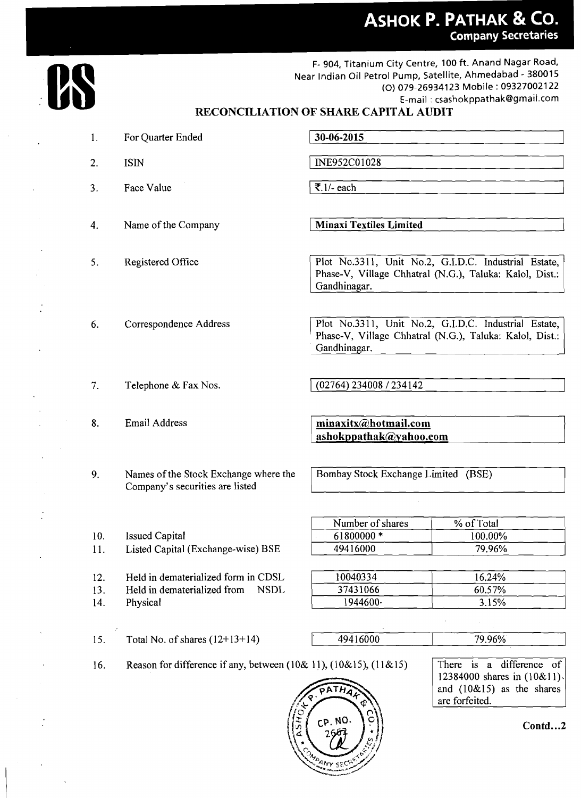## **RECONCILIATION OF SHARE CAPITAL AUDIT**

 $\ddot{\phantom{a}}$ 

 $\ddot{\phantom{a}}$ 

 $\cdot$ 

 $\overline{a}$ 

 $\ddot{\cdot}$ 

|                   |                                                                                   |                                                                                                                                 | <b>ASHOK P. PATHAK &amp; CO.</b><br><b>Company Secretaries</b>                                                                                                                                    |  |  |
|-------------------|-----------------------------------------------------------------------------------|---------------------------------------------------------------------------------------------------------------------------------|---------------------------------------------------------------------------------------------------------------------------------------------------------------------------------------------------|--|--|
|                   |                                                                                   |                                                                                                                                 | F- 904, Titanium City Centre, 100 ft. Anand Nagar Road,<br>Near Indian Oil Petrol Pump, Satellite, Ahmedabad - 380015<br>(O) 079-26934123 Mobile: 09327002122<br>E-mail: csashokppathak@gmail.com |  |  |
|                   |                                                                                   | RECONCILIATION OF SHARE CAPITAL AUDIT                                                                                           |                                                                                                                                                                                                   |  |  |
| 1.                | For Quarter Ended                                                                 | 30-06-2015                                                                                                                      |                                                                                                                                                                                                   |  |  |
| 2.                | <b>ISIN</b>                                                                       | INE952C01028                                                                                                                    |                                                                                                                                                                                                   |  |  |
| 3.                | Face Value                                                                        | ₹.1/- each                                                                                                                      |                                                                                                                                                                                                   |  |  |
| 4.                | Name of the Company                                                               | <b>Minaxi Textiles Limited</b>                                                                                                  |                                                                                                                                                                                                   |  |  |
| 5.                | Registered Office                                                                 | Gandhinagar.                                                                                                                    | Plot No.3311, Unit No.2, G.I.D.C. Industrial Estate,<br>Phase-V, Village Chhatral (N.G.), Taluka: Kalol, Dist.:                                                                                   |  |  |
| 6.                | Correspondence Address                                                            | Plot No.3311, Unit No.2, G.I.D.C. Industrial Estate,<br>Phase-V, Village Chhatral (N.G.), Taluka: Kalol, Dist.:<br>Gandhinagar. |                                                                                                                                                                                                   |  |  |
|                   |                                                                                   | (02764) 234008 / 234142                                                                                                         |                                                                                                                                                                                                   |  |  |
| 7.                | Telephone & Fax Nos.                                                              |                                                                                                                                 |                                                                                                                                                                                                   |  |  |
| 8.                | <b>Email Address</b>                                                              | minaxitx@hotmail.com<br>ashokppathak@yahoo.com                                                                                  |                                                                                                                                                                                                   |  |  |
| 9.                | Names of the Stock Exchange where the<br>Company's securities are listed          | Bombay Stock Exchange Limited (BSE)                                                                                             |                                                                                                                                                                                                   |  |  |
| 10.<br>11.        | <b>Issued Capital</b><br>Listed Capital (Exchange-wise) BSE                       | Number of shares<br>61800000*<br>49416000                                                                                       | % of Total<br>100.00%<br>79.96%                                                                                                                                                                   |  |  |
| 12.<br>13.<br>14. | Held in dematerialized form in CDSL<br>Held in dematerialized from<br><b>NSDL</b> | 10040334<br>37431066<br>1944600-                                                                                                | 16.24%<br>60.57%<br>3.15%                                                                                                                                                                         |  |  |
| 15.               | Physical<br>Total No. of shares $(12+13+14)$                                      | 49416000                                                                                                                        | 79.96%                                                                                                                                                                                            |  |  |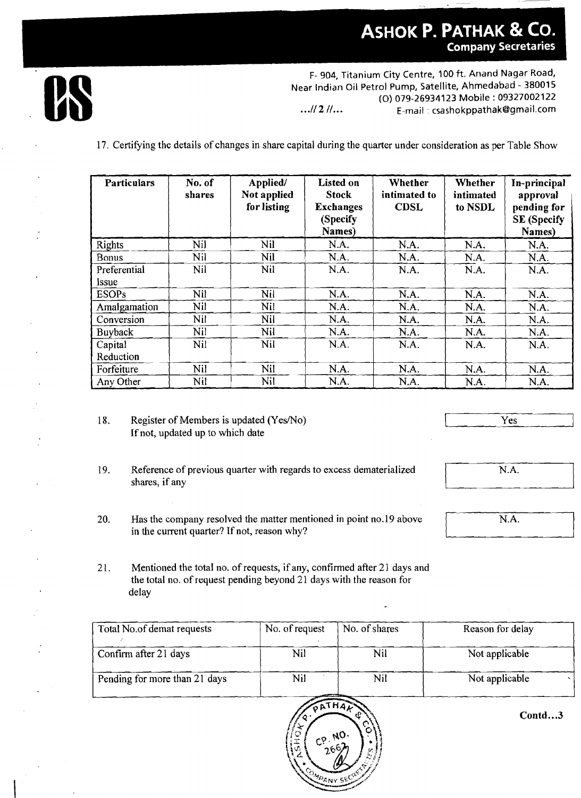## **ASHOK P. PATHAK & CO. Company Secretaries**



F- 904, Titanium City Centre, 100 ft. Anand Nagar Road, Near Indian Oil Petrol Pump, Satellite, Ahmedabad - 380015 (0)079-269341 23 Mobile : 09327002122 ...// 2 //... **E-mail : csashokppathak@gmail.com** 

17. Certifying the details of changes in share capital during the quarter under consideration as per Table Show

| <b>Particulars</b> | No. of<br>shares | Applied/<br>Not applied<br>for listing | <b>Listed on</b><br><b>Stock</b><br><b>Exchanges</b><br>(Specify<br>Names) | Whether<br>intimated to<br><b>CDSL</b> | Whether<br>intimated<br>to NSDL | In-principal<br>approval<br>pending for<br><b>SE</b> (Specify<br>Names) |
|--------------------|------------------|----------------------------------------|----------------------------------------------------------------------------|----------------------------------------|---------------------------------|-------------------------------------------------------------------------|
| <b>Rights</b>      | Nil              | Nil                                    | N.A.                                                                       | N.A.                                   | N.A.                            | N.A.                                                                    |
| <b>Bonus</b>       | Nil              | Nil                                    | N.A.                                                                       | N.A.                                   | N.A.                            | N.A.                                                                    |
| Preferential       | Nil              | Nil                                    | N.A.                                                                       | N.A.                                   | N.A.                            | N.A.                                                                    |
| Issue              |                  |                                        |                                                                            |                                        |                                 |                                                                         |
| <b>ESOPs</b>       | Nil              | Nil                                    | N.A.                                                                       | N.A.                                   | N.A.                            | N.A.                                                                    |
| Amalgamation       | Nil              | Nil                                    | N.A.                                                                       | N.A.                                   | N.A.                            | N.A.                                                                    |
| Conversion         | Nil              | Nil                                    | N.A.                                                                       | N.A.                                   | N.A.                            | N.A.                                                                    |
| Buyback            | Nil              | Nil                                    | N.A.                                                                       | N.A.                                   | N.A.                            | N.A.                                                                    |
| Capital            | Nil              | Nil                                    | N.A.                                                                       | N.A.                                   | N.A.                            | N.A.                                                                    |
| Reduction          |                  |                                        |                                                                            |                                        |                                 |                                                                         |
| Forfeiture         | Nil              | <b>Nil</b>                             | N.A.                                                                       | N.A.                                   | N.A.                            | N.A.                                                                    |
| Any Other          | Nil              | Nil                                    | N.A.                                                                       | N.A.                                   | N.A.                            | N.A.                                                                    |

18. Register of Members is updated (Yes/No) If not, updated up to which date

Yes

- 19. Reference of previous quarter with regards to excess dematerialized shares, if any
- $N.A.$
- N.A.
- 20. Has the company resolved the matter mentioned in point no.19 above in the current quarter? If not, reason why?
- 21. Mentioned the total no. of requests, if any, confirmed after 21 days and the total no, of request pending beyond 21 days with the reason for delay

| the total no. of request pending beyond 21 days with the reason for<br>delay |                | ٠             |                  |
|------------------------------------------------------------------------------|----------------|---------------|------------------|
| Total No.of demat requests                                                   | No. of request | No. of shares | Reason for delay |
| Confirm after 21 days                                                        | Nil            | Nil           | Not applicable   |
| Pending for more than 21 days                                                | Nil            | Nil           | Not applicable   |
|                                                                              | PATHAZ         |               |                  |



**Contd.**